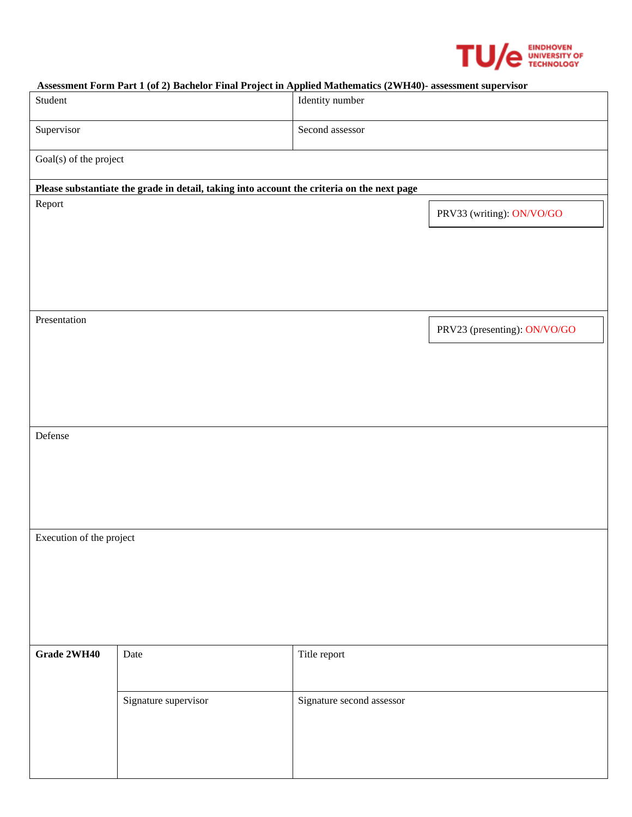

#### **Assessment Form Part 1 (of 2) Bachelor Final Project in Applied Mathematics (2WH40)- assessment supervisor**

| Student                                                                                    |                      | Identity number           |                              |  |  |
|--------------------------------------------------------------------------------------------|----------------------|---------------------------|------------------------------|--|--|
| Supervisor                                                                                 |                      | Second assessor           |                              |  |  |
| Goal(s) of the project                                                                     |                      |                           |                              |  |  |
| Please substantiate the grade in detail, taking into account the criteria on the next page |                      |                           |                              |  |  |
| Report                                                                                     |                      |                           | PRV33 (writing): ON/VO/GO    |  |  |
|                                                                                            |                      |                           |                              |  |  |
|                                                                                            |                      |                           |                              |  |  |
|                                                                                            |                      |                           |                              |  |  |
| Presentation                                                                               |                      |                           |                              |  |  |
|                                                                                            |                      |                           | PRV23 (presenting): ON/VO/GO |  |  |
|                                                                                            |                      |                           |                              |  |  |
|                                                                                            |                      |                           |                              |  |  |
|                                                                                            |                      |                           |                              |  |  |
| Defense                                                                                    |                      |                           |                              |  |  |
|                                                                                            |                      |                           |                              |  |  |
|                                                                                            |                      |                           |                              |  |  |
|                                                                                            |                      |                           |                              |  |  |
| Execution of the project                                                                   |                      |                           |                              |  |  |
|                                                                                            |                      |                           |                              |  |  |
|                                                                                            |                      |                           |                              |  |  |
|                                                                                            |                      |                           |                              |  |  |
|                                                                                            |                      |                           |                              |  |  |
| Grade 2WH40                                                                                | Date                 | Title report              |                              |  |  |
|                                                                                            |                      |                           |                              |  |  |
|                                                                                            | Signature supervisor | Signature second assessor |                              |  |  |
|                                                                                            |                      |                           |                              |  |  |
|                                                                                            |                      |                           |                              |  |  |
|                                                                                            |                      |                           |                              |  |  |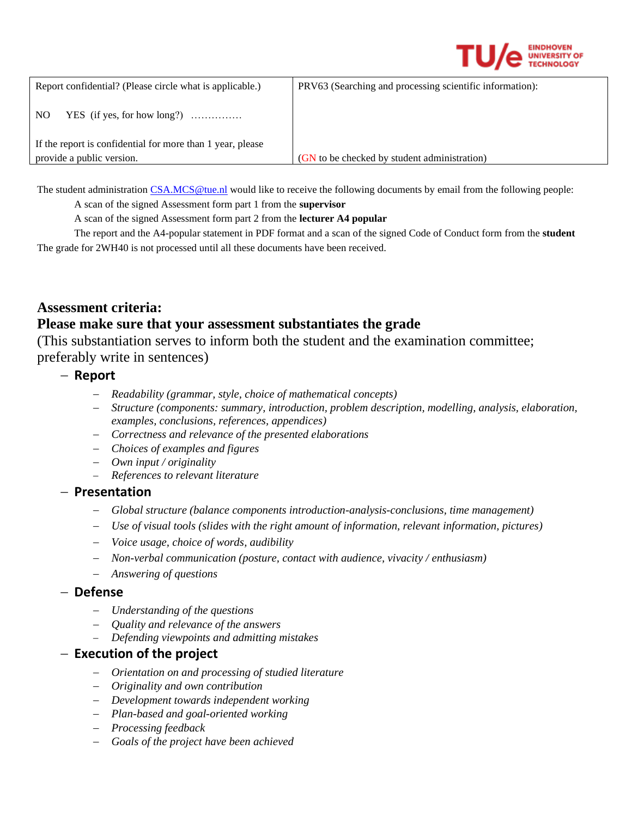

| Report confidential? (Please circle what is applicable.)                                | PRV63 (Searching and processing scientific information): |
|-----------------------------------------------------------------------------------------|----------------------------------------------------------|
| YES (if yes, for how long?) $\ldots$<br>N <sub>O</sub>                                  |                                                          |
| If the report is confidential for more than 1 year, please<br>provide a public version. | (GN to be checked by student administration)             |

The student administratio[n CSA.MCS@tue.nl](mailto:CSA.MCS@tue.nl) would like to receive the following documents by email from the following people:

A scan of the signed Assessment form part 1 from the **supervisor**

A scan of the signed Assessment form part 2 from the **lecturer A4 popular**

The report and the A4-popular statement in PDF format and a scan of the signed Code of Conduct form from the **student**  The grade for 2WH40 is not processed until all these documents have been received.

# **Assessment criteria: Please make sure that your assessment substantiates the grade**

(This substantiation serves to inform both the student and the examination committee; preferably write in sentences)

## − **Report**

- − *Readability (grammar, style, choice of mathematical concepts)*
- − *Structure (components: summary, introduction, problem description, modelling, analysis, elaboration, examples, conclusions, references, appendices)*
- − *Correctness and relevance of the presented elaborations*
- − *Choices of examples and figures*
- − *Own input / originality*
- − *References to relevant literature*

#### − **Presentation**

- − *Global structure (balance components introduction-analysis-conclusions, time management)*
- − *Use of visual tools (slides with the right amount of information, relevant information, pictures)*
- − *Voice usage, choice of words, audibility*
- − *Non-verbal communication (posture, contact with audience, vivacity / enthusiasm)*
- − *Answering of questions*

#### − **Defense**

- − *Understanding of the questions*
- − *Quality and relevance of the answers*
- − *Defending viewpoints and admitting mistakes*

# − **Execution of the project**

- − *Orientation on and processing of studied literature*
- − *Originality and own contribution*
- − *Development towards independent working*
- − *Plan-based and goal-oriented working*
- − *Processing feedback*
- − *Goals of the project have been achieved*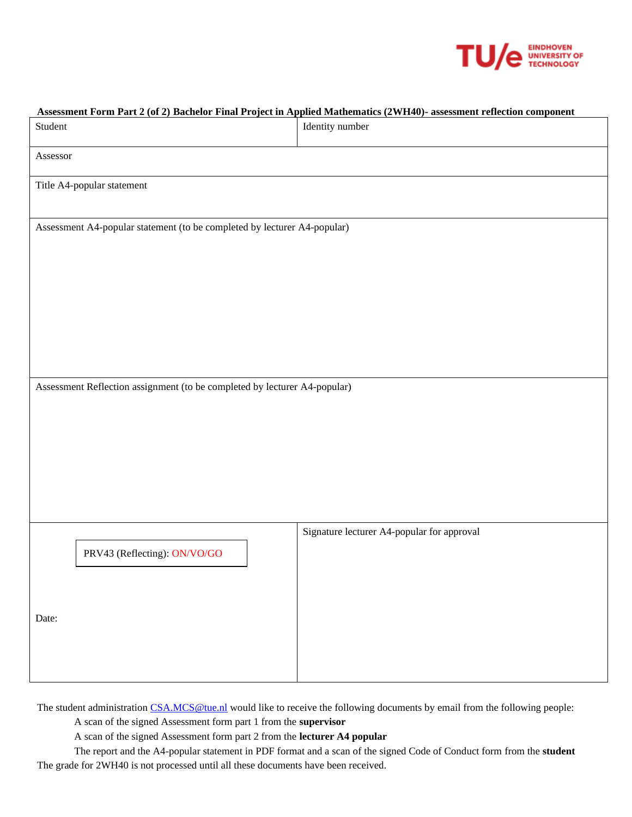

| Assessment Form Part 2 (of 2) Bachelor Final Project in Applied Mathematics (2WH40)- assessment reflection component |                              |                                            |  |
|----------------------------------------------------------------------------------------------------------------------|------------------------------|--------------------------------------------|--|
| Student                                                                                                              |                              | Identity number                            |  |
| Assessor                                                                                                             |                              |                                            |  |
|                                                                                                                      | Title A4-popular statement   |                                            |  |
| Assessment A4-popular statement (to be completed by lecturer A4-popular)                                             |                              |                                            |  |
|                                                                                                                      |                              |                                            |  |
|                                                                                                                      |                              |                                            |  |
|                                                                                                                      |                              |                                            |  |
|                                                                                                                      |                              |                                            |  |
| Assessment Reflection assignment (to be completed by lecturer A4-popular)                                            |                              |                                            |  |
|                                                                                                                      |                              |                                            |  |
|                                                                                                                      |                              |                                            |  |
|                                                                                                                      |                              |                                            |  |
|                                                                                                                      |                              |                                            |  |
|                                                                                                                      |                              | Signature lecturer A4-popular for approval |  |
|                                                                                                                      | PRV43 (Reflecting): ON/VO/GO |                                            |  |
|                                                                                                                      |                              |                                            |  |
| Date:                                                                                                                |                              |                                            |  |
|                                                                                                                      |                              |                                            |  |
|                                                                                                                      |                              |                                            |  |

The student administratio[n CSA.MCS@tue.nl](mailto:CSA.MCS@tue.nl) would like to receive the following documents by email from the following people:

A scan of the signed Assessment form part 1 from the **supervisor**

A scan of the signed Assessment form part 2 from the **lecturer A4 popular**

The report and the A4-popular statement in PDF format and a scan of the signed Code of Conduct form from the **student**  The grade for 2WH40 is not processed until all these documents have been received.